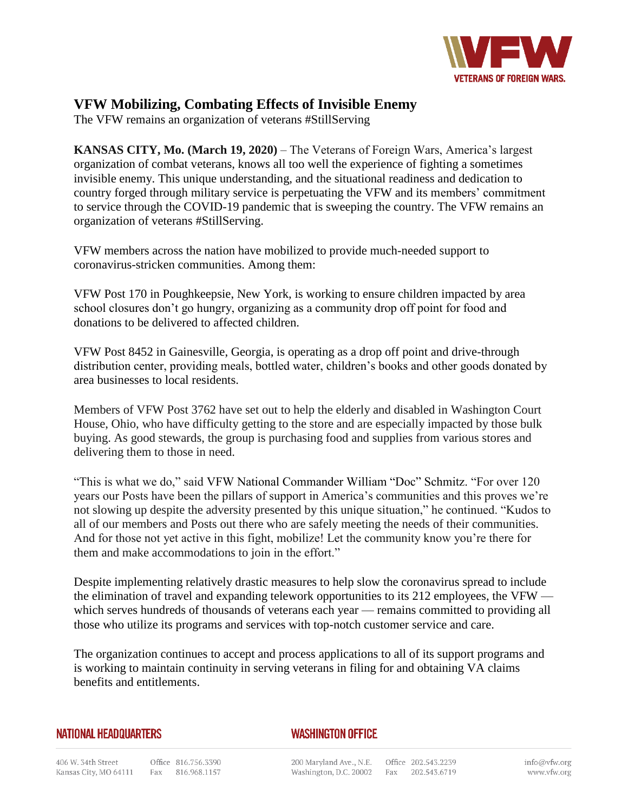

## **VFW Mobilizing, Combating Effects of Invisible Enemy**

The VFW remains an organization of veterans #StillServing

**KANSAS CITY, Mo. (March 19, 2020)** – The Veterans of Foreign Wars, America's largest organization of combat veterans, knows all too well the experience of fighting a sometimes invisible enemy. This unique understanding, and the situational readiness and dedication to country forged through military service is perpetuating the VFW and its members' commitment to service through the COVID-19 pandemic that is sweeping the country. The VFW remains an organization of veterans #StillServing.

VFW members across the nation have mobilized to provide much-needed support to coronavirus-stricken communities. Among them:

VFW Post 170 in Poughkeepsie, New York, is working to ensure children impacted by area school closures don't go hungry, organizing as a community drop off point for food and donations to be delivered to affected children.

VFW Post 8452 in Gainesville, Georgia, is operating as a drop off point and drive-through distribution center, providing meals, bottled water, children's books and other goods donated by area businesses to local residents.

Members of VFW Post 3762 have set out to help the elderly and disabled in Washington Court House, Ohio, who have difficulty getting to the store and are especially impacted by those bulk buying. As good stewards, the group is purchasing food and supplies from various stores and delivering them to those in need.

"This is what we do," said VFW National Commander William "Doc" Schmitz. "For over 120 years our Posts have been the pillars of support in America's communities and this proves we're not slowing up despite the adversity presented by this unique situation," he continued. "Kudos to all of our members and Posts out there who are safely meeting the needs of their communities. And for those not yet active in this fight, mobilize! Let the community know you're there for them and make accommodations to join in the effort."

Despite implementing relatively drastic measures to help slow the coronavirus spread to include the elimination of travel and expanding telework opportunities to its 212 employees, the VFW which serves hundreds of thousands of veterans each year — remains committed to providing all those who utilize its programs and services with top-notch customer service and care.

The organization continues to accept and process applications to all of its support programs and is working to maintain continuity in serving veterans in filing for and obtaining VA claims benefits and entitlements.

## **NATIONAL HEADQUARTERS**

## **WASHINGTON OFFICE**

200 Maryland Ave., N.E. Office 202.543.2239 Washington, D.C. 20002 Fax 202.543.6719